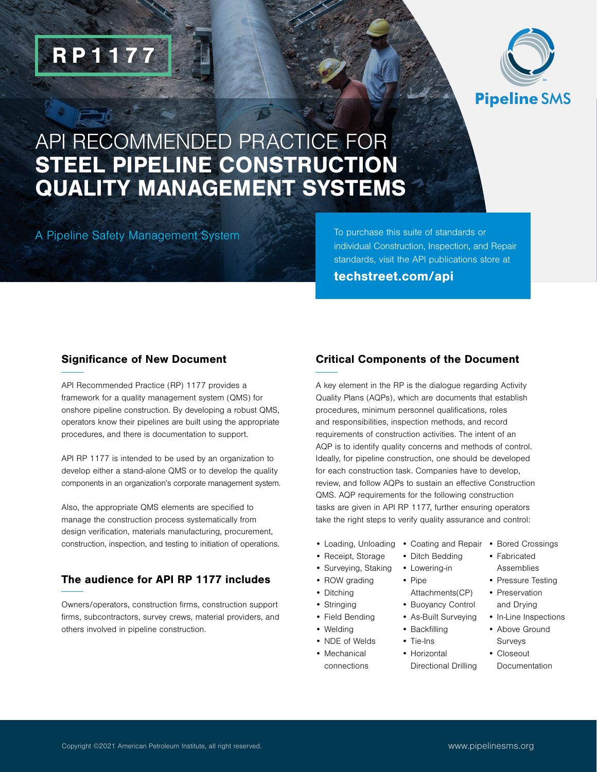

# API RECOMMENDED PRACTICE FOR STEEL PIPELINE CONSTRUCTION QUALITY MANAGEMENT SYSTEMS

A Pipeline Safety Management System

RP1177

To purchase this suite of standards or individual Construction, Inspection, and Repair standards, visit the API publications store at [techstreet.com/api](https://www.techstreet.com/pages/home)

### Significance of New Document

API Recommended Practice (RP) 1177 provides a framework for a quality management system (QMS) for onshore pipeline construction. By developing a robust QMS, operators know their pipelines are built using the appropriate procedures, and there is documentation to support.

API RP 1177 is intended to be used by an organization to develop either a stand-alone QMS or to develop the quality components in an organization's corporate management system.

Also, the appropriate QMS elements are specified to manage the construction process systematically from design verification, materials manufacturing, procurement, construction, inspection, and testing to initiation of operations.

### The audience for API RP 1177 includes

Owners/operators, construction firms, construction support firms, subcontractors, survey crews, material providers, and others involved in pipeline construction.

### Critical Components of the Document

A key element in the RP is the dialogue regarding Activity Quality Plans (AQPs), which are documents that establish procedures, minimum personnel qualifications, roles and responsibilities, inspection methods, and record requirements of construction activities. The intent of an AQP is to identify quality concerns and methods of control. Ideally, for pipeline construction, one should be developed for each construction task. Companies have to develop, review, and follow AQPs to sustain an effective Construction QMS. AQP requirements for the following construction tasks are given in API RP 1177, further ensuring operators take the right steps to verify quality assurance and control:

• Pipe

Attachments(CP) • Buoyancy Control • As-Built Surveying • Backfilling • Tie-Ins • Horizontal

Directional Drilling

- Loading, Unloading Coating and Repair Bored Crossings
- Receipt, Storage
- Surveying, Staking • Lowering-in
- ROW grading
- Ditching
- Stringing
- Field Bending
- Welding
- NDE of Welds
- Mechanical connections
- 
- Ditch Bedding • Fabricated Assemblies
	- Pressure Testing
		- Preservation and Drying
		- In-Line Inspections
		- Above Ground Surveys
		- Closeout Documentation